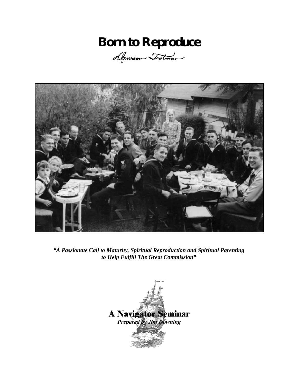# **Born to Reproduce**<br> *Alawson Frotman*





*"A Passionate Call to Maturity, Spiritual Reproduction and Spiritual Parenting to Help Fulfill The Great Commission"*

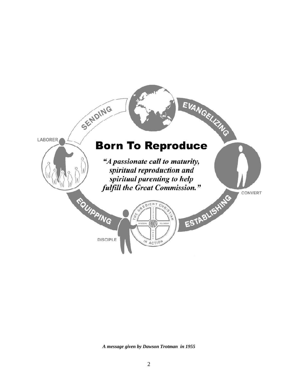

*A message given by Dawson Trotman in 1955*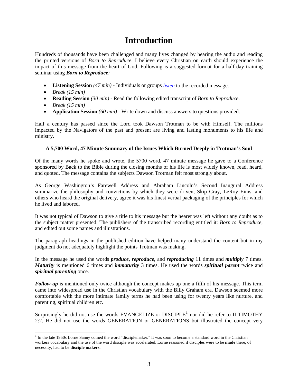# **Introduction**

Hundreds of thousands have been challenged and many lives changed by hearing the audio and reading the printed versions of *Born to Reproduce*. I believe every Christian on earth should experience the impact of this message from the heart of God. Following is a suggested format for a half-day training seminar using *Born to Reproduce:*

- **Listening Session** *(47 min)* Individuals or groups *[listen](http://turret2.discipleshiplibrary.com/AA094.mp3)* to the recorded message.
- *Break (15 min)*
- **Reading Session** *(30 min)* Read the following edited transcript of *Born to Reproduce*.
- *Break (15 min)*

 $\overline{a}$ 

• **Application Session** *(60 min)* - Write down and discuss answers to questions provided.

Half a century has passed since the Lord took Dawson Trotman to be with Himself. The millions impacted by the Navigators of the past and present are living and lasting monuments to his life and ministry.

#### **A 5,700 Word, 47 Minute Summary of the Issues Which Burned Deeply in Trotman's Soul**

Of the many words he spoke and wrote, the 5700 word, 47 minute message he gave to a Conference sponsored by Back to the Bible during the closing months of his life is most widely known, read, heard, and quoted. The message contains the subjects Dawson Trotman felt most strongly about.

As George Washington's Farewell Address and Abraham Lincoln's Second Inaugural Address summarize the philosophy and convictions by which they were driven, Skip Gray, LeRoy Eims, and others who heard the original delivery, agree it was his finest verbal packaging of the principles for which he lived and labored.

It was not typical of Dawson to give a title to his message but the hearer was left without any doubt as to the subject matter presented. The publishers of the transcribed recording entitled it: *Born to Reproduce*, and edited out some names and illustrations.

The paragraph headings in the published edition have helped many understand the content but in my judgment do not adequately highlight the points Trotman was making.

In the message he used the words *produce*, *reproduce*, and *reproducing* 11 times and *multiply* 7 times. *Maturity* is mentioned 6 times and *immaturity* 3 times. He used the words *spiritual parent* twice and *spiritual parenting* once.

*Follow-up* is mentioned only twice although the concept makes up one a fifth of his message. This term came into widespread use in the Christian vocabulary with the Billy Graham era. Dawson seemed more comfortable with the more intimate family terms he had been using for twenty years like nurture, and parenting, spiritual children etc.

Surprisingly he did not use the words EVANGELIZE or  $DISCIPLE<sup>1</sup>$  $DISCIPLE<sup>1</sup>$  $DISCIPLE<sup>1</sup>$  nor did he refer to II TIMOTHY 2:2. He did not use the words GENERATION or GENERATIONS but illustrated the concept very

<span id="page-2-0"></span><sup>&</sup>lt;sup>1</sup> In the late 1950s Lorne Sanny coined the word "disciplemaker." It was soon to become a standard word in the Christian workers vocabulary and the use of the word disciple was accelerated. Lorne reasoned if disciples were to be **made** there, of necessity, had to be **disciple makers**.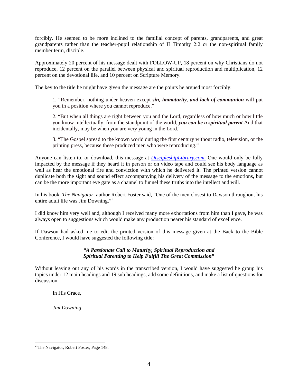forcibly. He seemed to be more inclined to the familial concept of parents, grandparents, and great grandparents rather than the teacher-pupil relationship of II Timothy 2:2 or the non-spiritual family member term, disciple.

Approximately 20 percent of his message dealt with FOLLOW-UP, 18 percent on why Christians do not reproduce, 12 percent on the parallel between physical and spiritual reproduction and multiplication, 12 percent on the devotional life, and 10 percent on Scripture Memory.

The key to the title he might have given the message are the points he argued most forcibly:

1. "Remember, nothing under heaven except *sin, immaturity, and lack of communion* will put you in a position where you cannot reproduce."

2. "But when all things are right between you and the Lord, regardless of how much or how little you know intellectually, from the standpoint of the world, *you can be a spiritual parent* And that incidentally, may be when you are very young in the Lord."

3. "The Gospel spread to the known world during the first century without radio, television, or the printing press, because these produced men who were reproducing."

Anyone can listen to, or download, this message at *[DiscipleshipLibrary.com.](http://turret2.discipleshiplibrary.com/AA094.mp3)* One would only be fully impacted by the message if they heard it in person or on video tape and could see his body language as well as hear the emotional fire and conviction with which he delivered it. The printed version cannot duplicate both the sight and sound effect accompanying his delivery of the message to the emotions, but can be the more important eye gate as a channel to funnel these truths into the intellect and will.

In his book, *The Navigator*, author Robert Foster said, "One of the men closest to Dawson throughout his entire adult life was Jim Downing."<sup>[2](#page-3-0)</sup>

I did know him very well and, although I received many more exhortations from him than I gave, he was always open to suggestions which would make any production nearer his standard of excellence.

If Dawson had asked me to edit the printed version of this message given at the Back to the Bible Conference, I would have suggested the following title:

## *"A Passionate Call to Maturity, Spiritual Reproduction and Spiritual Parenting to Help Fulfill The Great Commission"*

Without leaving out any of his words in the transcribed version, I would have suggested he group his topics under 12 main headings and 19 sub headings, add some definitions, and make a list of questions for discussion.

In His Grace,

*Jim Downing* 

<span id="page-3-0"></span> $\overline{a}$ <sup>2</sup> The Navigator, Robert Foster, Page 148.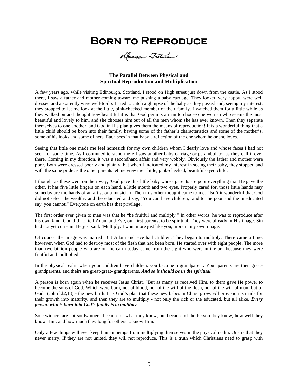# **Born to Reproduce**

Dawson Instrumen

#### **The Parallel Between Physical and Spiritual Reproduction and Multiplication**

A few years ago, while visiting Edinburgh, Scotland, I stood on High street just down from the castle. As I stood there, I saw a father and mother coming toward me pushing a baby carriage. They looked very happy, were well dressed and apparently were well-to-do. I tried to catch a glimpse of the baby as they passed and, seeing my interest, they stopped to let me look at the little, pink-cheeked member of their family. I watched them for a little while as they walked on and thought how beautiful it is that God permits a man to choose one woman who seems the most beautiful and lovely to him, and she chooses him out of all the men whom she has ever known. Then they separate themselves to one another, and God in His plan gives them the means of reproduction! It is a wonderful thing that a little child should be born into their family, having some of the father's characteristics and some of the mother's, some of his looks and some of hers. Each sees in that baby a reflection of the one whom he or she loves.

Seeing that little one made me feel homesick for my own children whom I dearly love and whose faces I had not seen for some time. As I continued to stand there I saw another baby carriage or perambulator as they call it over there. Coming in my direction, it was a secondhand affair and very wobbly. Obviously the father and mother were poor. Both were dressed poorly and plainly, but when I indicated my interest in seeing their baby, they stopped and with the same pride as the other parents let me view their little, pink-cheeked, beautiful-eyed child.

I thought as these went on their way, 'God gave this little baby whose parents are poor everything that He gave the other. It has five little fingers on each hand, a little mouth and two eyes. Properly cared for, those little hands may someday are the hands of an artist or a musician. Then this other thought came to me. "Isn't it wonderful that God did not select the wealthy and the educated and say, 'You can have children,' and to the poor and the uneducated say, you cannot." Everyone on earth has that privilege.

The first order ever given to man was that he "be fruitful and multiply." In other words, he was to reproduce after his own kind. God did not tell Adam and Eve, our first parents, to be spiritual. They were already in His image. Sin had not yet come in. He just said, 'Multiply. I want more just like you, more in my own image.

Of course, the image was marred. But Adam and Eve had children. They began to multiply. There came a time, however, when God had to destroy most of the flesh that had been born. He started over with eight people. The more than two billion people who are on the earth today came from the eight who were in the ark because they were fruitful and multiplied.

In the physical realm when your children have children, you become a grandparent. Your parents are then greatgrandparents, and theirs are great-great- grandparents. *And so it should be in the spiritual.* 

A person is born again when he receives Jesus Christ. "But as many as received Him, to them gave He power to become the sons of God. Which were born, not of blood, nor of the will of the flesh, nor of the will of man, but of God" (John l:12,13) - the new birth. It is God's plan that these new babes in Christ grow. All provision is made for their growth into maturity, and then they are to multiply - not only the rich or the educated, but all alike. *Every person who is born into God's family is to multiply.* 

Sole winners are not soulwinners, because of what they know, but because of the Person they know, how well they know Him, and how much they long for others to know Him.

Only a few things will ever keep human beings from multiplying themselves in the physical realm. One is that they never marry. If they are not united, they will not reproduce. This is a truth which Christians need to grasp with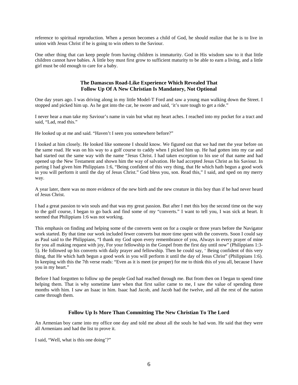reference to spiritual reproduction. When a person becomes a child of God, he should realize that he is to live in union with Jesus Christ if he is going to win others to the Saviour.

One other thing that can keep people from having children is immaturity. God in His wisdom saw to it that little children cannot have babies. A little boy must first grow to sufficient maturity to be able to earn a living, and a little girl must be old enough to care for a baby.

#### **The Damascus Road-Like Experience Which Revealed That Follow Up Of A New Christian Is Mandatory, Not Optional**

One day years ago. I was driving along in my little Model-T Ford and saw a young man walking down the Street. I stopped and picked him up. As he got into the car, he swore and said, 'it's sure tough to get a ride."

I never hear a man take my Saviour's name in vain but what my heart aches. I reached into my pocket for a tract and said, "Lad, read this."

He looked up at me and said. "Haven't I seen you somewhere before?"

I looked at him closely. He looked like someone I should know. We figured out that we had met the year before on the same road. He was on his way to a golf course to caddy when I picked him up. He had gotten into my car and had started out the same way with the name "Jesus Christ. I had taken exception to his use of that name and had opened up the New Testament and shown him the way of salvation. He had accepted Jesus Christ as his Saviour. In parting I had given him Philippians 1:6, "Being confident of this very thing, that He which hath begun a good work in you will perform it until the day of Jesus Christ." God bless you, son. Read this," I said, and sped on my merry way.

A year later, there was no more evidence of the new birth and the new creature in this boy than if he had never heard of Jesus Christ.

I had a great passion to win souls and that was my great passion. But after I met this boy the second time on the way to the golf course, I began to go back and find some of my "converts." I want to tell you, I was sick at heart. It seemed that Philippians 1:6 was not working.

This emphasis on finding and helping some of the converts went on for a couple or three years before the Navigator work started. By that time our work included fewer converts but more time spent with the converts. Soon I could say as Paul said to the Philippians, "I thank my God upon every remembrance of you, Always in every prayer of mine for you all making request with joy, For your fellowship in the Gospel from the first day until now" (Philippians 1:3- 5). He followed up his converts with daily prayer and fellowship. Then he could say, ' Being confident of this very thing, that He which hath begun a good work in you will perform it until the day of Jesus Christ" (Philippians 1:6). In keeping with this the 7th verse reads: "Even as it is meet (or proper) for me to think this of you all, because I have you in my heart."

Before I had forgotten to follow up the people God had reached through me. But from then on I began to spend time helping them. That is why sometime later when that first sailor came to me, I saw the value of spending three months with him. I saw an Isaac in him. Isaac had Jacob, and Jacob had the twelve, and all the rest of the nation came through them.

#### **Follow Up Is More Than Committing The New Christian To The Lord**

An Armenian boy came into my office one day and told me about all the souls he had won. He said that they were all Armenians and had the list to prove it.

I said, "Well, what is this one doing'?"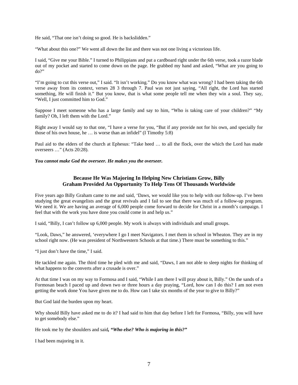He said, "That one isn't doing so good. He is backslidden."

"What about this one?" We went all down the list and there was not one living a victorious life.

I said, "Give me your Bible." I turned to Philippians and put a cardboard right under the 6th verse, took a razor blade out of my pocket and started to come down on the page. He grabbed my hand and asked, "What are you going to  $do?"$ 

"I'm going to cut this verse out," I said. "It isn't working." Do you know what was wrong? I had been taking the 6th verse away from its context, verses 28 3 through 7. Paul was not just saying, "All right, the Lord has started something, He will finish it." But you know, that is what some people tell me when they win a soul. They say, "Well, I just committed him to God."

Suppose I meet someone who has a large family and say to him, "Who is taking care of your children?" "My family? Oh, I left them with the Lord."

Right away I would say to that one, "I have a verse for you, "But if any provide not for his own, and specially for those of his own house, he … is worse than an infidel" (I Timothy 5:8)

Paul aid to the elders of the church at Ephesus: "Take heed … to all the flock, over the which the Lord has made overseers …" (Acts 20:28).

#### *You cannot make God the overseer. He makes you the overseer.*

#### **Because He Was Majoring In Helping New Christians Grow, Billy Graham Provided An Opportunity To Help Tens Of Thousands Worldwide**

Five years ago Billy Graham came to me and said, 'Daws, we would like you to help with our follow-up. I've been studying the great evangelists and the great revivals and I fail to see that there was much of a follow-up program. We need it. We are having an average of 6,000 people come forward to decide for Christ in a month's campaign. I feel that with the work you have done you could come in and help us."

I said, "Billy, I can't follow up 6,000 people. My work is always with individuals and small groups.

"Look, Daws," he answered, 'everywhere I go I meet Navigators. I met them in school in Wheaton. They are in my school right now. (He was president of Northwestern Schools at that time.) There must be something to this."

"I just don't have the time," I said.

He tackled me again. The third time he pled with me and said, "Daws, I am not able to sleep nights for thinking of what happens to the converts after a crusade is over."

At that time I was on my way to Formosa and I said, "While I am there I will pray about it, Billy." On the sands of a Formosan beach I paced up and down two or three hours a day praying, "Lord, how can I do this? I am not even getting the work done You have given me to do. How can I take six months of the year to give to Billy?"

But God laid the burden upon my heart.

Why should Billy have asked me to do it? I had said to him that day before I left for Formosa, "Billy, you will have to get somebody else."

He took me by the shoulders and said*, "Who else? Who is majoring in this?"* 

I had been majoring in it.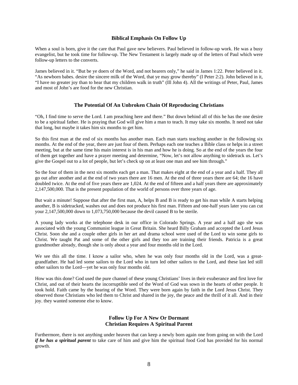#### **Biblical Emphasis On Follow Up**

When a soul is born, give it the care that Paul gave new believers. Paul believed in follow-up work. He was a busy evangelist, but he took time for follow-up. The New Testament is largely made up of the letters of Paul which were follow-up letters to the converts.

James believed in it. "But be ye doers of the Word, and not hearers only," he said in James 1:22. Peter believed in it. "As newborn babes. desire the sincere milk of the Word, that ye may grow thereby" (I Peter 2:2). John believed in it, "I have no greater joy than to hear that my children walk in truth" (Ill John 4). All the writings of Peter, Paul, James and most of John's are food for the new Christian.

#### **The Potential Of An Unbroken Chain Of Reproducing Christians**

"Oh, I find time to serve the Lord. I am preaching here and there." But down behind all of this he has the one desire to be a spiritual father. He is praying that God will give him a man to teach. It may take six months. It need not take that long, but maybe it takes him six months to get him.

So this first man at the end of six months has another man. Each man starts teaching another in the following six months. At the end of the year, there are just four of them. Perhaps each one teaches a Bible class or helps in a street meeting, but at the same time his main interest is in his man and how he is doing. So at the end of the years the four of them get together and have a prayer meeting and determine, "Now, let's not allow anything to sidetrack us. Let's give the Gospel out to a lot of people, but let's check up on at least one man and see him through."

So the four of them in the next six months each get a man. That makes eight at the end of a year and a half. They all go out after another and at the end of two years there are 16 men. At the end of three years there are 64; the 16 have doubled twice. At the end of five years there are 1,024. At the end of fifteen and a half years there are approximately 2,147,500,000. That is the present population of the world of persons over three years of age.

But wait a minute! Suppose that after the first man, A, helps B and B is ready to get his man while A starts helping another, B is sidetracked, washes out and does not produce his first man. Fifteen and one-half years later you can cut your 2,147,500,000 down to 1,073,750,000 because the devil caused B to be sterile.

A young lady works at the telephone desk in our office in Colorado Springs. A year and a half ago she was associated with the young Communist league in Great Britain. She heard Billy Graham and accepted the Lord Jesus Christ. Soon she and a couple other girls in her art and drama school were used of the Lord to win some girls to Christ. We taught Pat and some of the other girls and they too are training their friends. Patricia is a great grandmother already, though she is only about a year and four months old in the Lord.

We see this all the time. I know a sailor who, when he was only four months old in the Lord, was a greatgrandfather. He had led some sailors to the Lord who in turn led other sailors to the Lord, and these last led still other sailors to the Lord—yet he was only four months old.

How was this done? God used the pure channel of these young Christians' lives in their exuberance and first love for Christ, and out of their hearts the incorruptible seed of the Word of God was sown in the hearts of other people. It took hold. Faith came by the hearing of the Word. They were born again by faith in the Lord Jesus Christ. They observed those Christians who led them to Christ and shared in the joy, the peace and the thrill of it all. And in their joy. they wanted someone else to know.

#### **Follow Up For A New Or Dormant Christian Requires A Spiritual Parent**

Furthermore, there is not anything under heaven that can keep a newly born again one from going on with the Lord *if he has a spiritual parent* to take care of him and give him the spiritual food God has provided for his normal growth.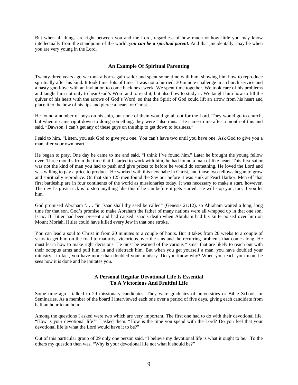But when all things are right between you and the Lord, regardless of how much or how little you may know intellectually from the standpoint of the world, *you can be a spiritual parent.* And that ,incidentally, may be when you are very young in the Lord.

#### **An Example Of Spiritual Parenting**

Twenty-three years ago we took a born-again sailor and spent some time with him, showing him how to reproduce spiritually after his kind. It took time, lots of time. It was not a hurried, 30-minute challenge in a church service and a hasty good-bye with an invitation to come back next week. We spent time together. We took care of his problems and taught him not only to hear God's Word and to read it, but also how to study it. We taught him how to fill the quiver of his heart with the arrows of God's Word, so that the Spirit of God could lift an arrow from his heart and place it to the bow of his lips and pierce a heart for Christ.

He found a number of boys on his ship, but none of them would go all out for the Lord. They would go to church, but when it came right down to doing something, they were "also rans." He came to me after a month of this and said, "Dawson, I can't get any of these guys on the ship to get down to business."

I said to him, "Listen, you ask God to give you one. You can't have two until you have one. Ask God to give you a man after your own heart."

He began to pray. One day he came to me and said, "I think I've found him." Later he brought the young fellow over. Three months from the time that I started to work with him, he had found a man of like heart. This first sailor was not the kind of man you had to push and give prizes to before he would do something. He loved the Lord and was willing to pay a price to produce. He worked with this new babe in Christ, and those two fellows began to grow and spiritually reproduce. On that ship 125 men found the Saviour before it was sunk at Pearl Harbor. Men off that first battleship are in four continents of the world as missionaries today. It was necessary to make a start, however. The devil's great trick is to stop anything like this if he can before it gets started. He will stop you, too, if you let him.

God promised Abraham '. . . "in Isaac shall thy seed be called" (Genesis 21:12), so Abraham waited a long, long time for that son. God's promise to make Abraham the father of many nations were all wrapped up in that one son, Isaac. If Hitler had been present and had caused Isaac's death when Abraham had his knife poised over him on Mount Moriah, Hitler could have killed every Jew in that one stroke.

You can lead a soul to Christ in from 20 minutes to a couple of hours. But it takes from 20 weeks to a couple of years to get him on the road to maturity, victorious over the sins and the recurring problems that come along. He must learn how to make right decisions. He must be warned of the various "isms" that are likely to reach out with their octopus arms and pull him in and sidetrack him. But when you get yourself a man, you have doubled your ministry—in fact, you have more than doubled your ministry. Do you know why? When you teach your man, he sees how it is done and he imitates you.

#### **A Personal Regular Devotional Life Is Essential To A Victorious And Fruitful Life**

Some time ago I talked to 29 missionary candidates. They were graduates of universities or Bible Schools or Seminaries. As a member of the board I interviewed each one over a period of five days, giving each candidate from half an hour to an hour.

Among the questions I asked were two which are very important. The first one had to do with their devotional life. "How is your devotional life?" I asked them. "How is the time you spend with the Lord? Do you feel that your devotional life is what the Lord would have it to be?"

Out of this particular group of 29 only one person said, "I believe my devotional life is what it ought to be." To the others my question then was, "Why is your devotional life not what it should be?"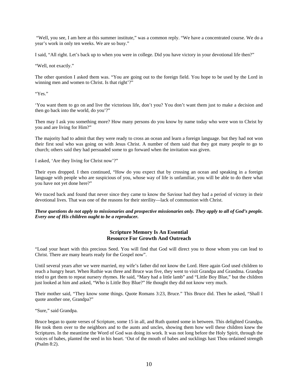"Well, you see, I am here at this summer institute," was a common reply. "We have a concentrated course. We do a year's work in only ten weeks. We are so busy."

I said, "All right. Let's back up to when you were in college. Did you have victory in your devotional life then?"

"Well, not exactly."

The other question I asked them was. "You are going out to the foreign field. You hope to be used by the Lord in winning men and women to Christ. Is that right'?"

"Yes."

'You want them to go on and live the victorious life, don't you? You don't want them just to make a decision and then go back into the world, do you'?"

Then may I ask you something more? How many persons do you know by name today who were won to Christ by you and are living for Him?"

The majority had to admit that they were ready to cross an ocean and learn a foreign language. but they had not won their first soul who was going on with Jesus Christ. A number of them said that they got many people to go to church; others said they had persuaded some to go forward when the invitation was given.

I asked, 'Are they living for Christ now'?"

Their eyes dropped. I then continued, "How do you expect that by crossing an ocean and speaking in a foreign language with people who are suspicious of you, whose way of life is unfamiliar, you will be able to do there what you have not yet done here?"

We traced back and found that never since they came to know the Saviour had they had a period of victory in their devotional lives. That was one of the reasons for their sterility—lack of communion with Christ.

*These questions do not apply to missionaries and prospective missionaries only. They apply to all of God's people. Every one of His children ought to be a reproducer.* 

#### **Scripture Memory Is An Essential Resource For Growth And Outreach**

"Load your heart with this precious Seed. You will find that God will direct you to those whom you can lead to Christ. There are many hearts ready for the Gospel now".

Until several years after we were married, my wife's father did not know the Lord. Here again God used children to reach a hungry heart. When Ruthie was three and Bruce was five, they went to visit Grandpa and Grandma. Grandpa tried to get them to repeat nursery rhymes. He said, "Mary had a little lamb" and "Little Boy Blue," but the children just looked at him and asked, "Who is Little Boy Blue?" He thought they did not know very much.

Their mother said, "They know some things. Quote Romans 3:23, Bruce." This Bruce did. Then he asked, "Shall I quote another one, Grandpa?"

"Sure," said Grandpa.

Bruce began to quote verses of Scripture, some 15 in all, and Ruth quoted some in between. This delighted Grandpa. He took them over to the neighbors and to the aunts and uncles, showing them how well these children knew the Scriptures. In the meantime the Word of God was doing its work. It was not long before the Holy Spirit, through the voices of babes, planted the seed in his heart. 'Out of the mouth of babes and sucklings hast Thou ordained strength (Psalm 8:2).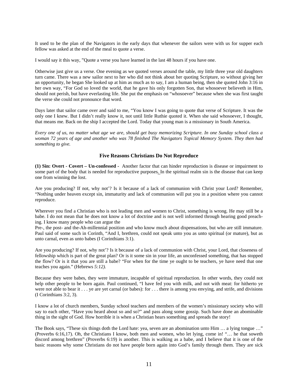It used to be the plan of the Navigators in the early days that whenever the sailors were with us for supper each fellow was asked at the end of the meal to quote a verse.

I would say it this way, "Quote a verse you have learned in the last 48 hours if you have one.

Otherwise just give us a verse. One evening as we quoted verses around the table, my little three year old daughters turn came. There was a new sailor next to her who did not think about her quoting Scripture, so without giving her an opportunity, he began She looked up at him as much as to say, I am a human being, then she quoted John 3:16 in her own way, "For God so loved the world, that he gave his only forgotten Son, that whosoever believeth in Him, should not perish, but have everlasting life. She put the emphasis on "whosoever" because when she was first taught the verse she could not pronounce that word.

Days later that sailor came over and said to me, "You know I was going to quote that verse of Scripture. It was the only one I knew. But I didn't really know it, not until little Ruthie quoted it. When she said whosoever, I thought, that means me. Back on the ship I accepted the Lord. Today that young man is a missionary in South America.

*Every one of us, no matter what age we are, should get busy memorizing Scripture. In one Sunday school class a woman 72 years of age and another who was 78 finished The Navigators Topical Memory System. They then had something to give.*

#### **Five Reasons Christians Do Not Reproduce**

**(1) Sin: Overt - Covert – Un-confessed -** Another factor that can hinder reproduction is disease or impairment to some part of the body that is needed for reproductive purposes. In the spiritual realm sin is the disease that can keep one from winning the lost.

Are you producing? If not, why not'? Is it because of a lack of communion with Christ your Lord? Remember, "Nothing under heaven except sin, immaturity and lack of communion will put you in a position where you cannot reproduce.

Wherever you find a Christian who is not leading men and women to Christ, something is wrong. He may still be a babe. I do not mean that he does not know a lot of doctrine and is not well informed through hearing good preaching. I know many people who can argue the

Pre-, the post- and the-Ah-millennial position and who know much about dispensations, but who are still immature. Paul said of some such in Corinth, "And I, brethren, could not speak unto you as unto spiritual (or mature), but as unto carnal, even as unto babes (I Corinthians 3:1).

Are you producing? If not, why not'? Is it because of a lack of communion with Christ, your Lord, that closeness of fellowship which is part of the great plan? Or is it some sin in your life, an unconfessed something, that has stopped the flow? Or is it that you are still a babe? "For when for the time ye ought to be teachers, ye have need that one teaches you again." (Hebrews *5:12).* 

Because they were babes, they were immature, incapable of spiritual reproduction. In other words, they could not help other people to be born again. Paul continued, "I have fed you with milk, and not with meat: for hitherto ye were not able to bear it . . . ye are yet carnal (or babes): for . . . there is among you envying, and strife, and divisions (I Corinthians 3:2, 3).

I know a lot of church members, Sunday school teachers and members of the women's missionary society who will say to each other, "Have you heard about so and so?" and pass along some gossip. Such have done an abominable thing in the sight of God. How horrible it is when a Christian hears something and spreads the story!

The Book says, "These six things doth the Lord hate: yea, seven are an abomination unto Him … a lying tongue …" (Proverbs 6:16,17). Oh, the Christians I know, both men and women, who let lying, come in! "… he that soweth discord among brethren" (Proverbs 6:19) is another. This is walking as a babe, and I believe that it is one of the basic reasons why some Christians do not have people born again into God's family through them. They are sick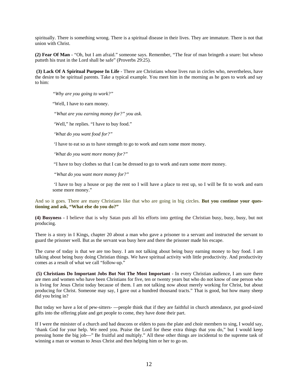spiritually. There is something wrong. There is a spiritual disease in their lives. They are immature. There is not that union with Christ.

**(2) Fear Of Man** - "Oh, but I am afraid." someone says. Remember, "The fear of man bringeth a snare: but whoso putteth his trust in the Lord shall be safe" (Proverbs 29:25).

 **(3) Lack Of A Spiritual Purpose In Life** - There are Christians whose lives run in circles who, nevertheless, have the desire to be spiritual parents. Take a typical example. You meet him in the morning as he goes to work and say to him:

*"Why are you going to work?"* 

"Well, I have to earn money.

 *"What are you earning money for?" you ask.* 

'Well," he replies. "I have to buy food."

 *'What do you want food for?"* 

'I have to eat so as to have strength to go to work and earn some more money.

 *'What do you want more money for?"* 

"I have to buy clothes so that I can be dressed to go to work and earn some more money.

 *"What do you want more money for?"* 

 'I have to buy a house or pay the rent so I will have a place to rest up, so I will be fit to work and earn some more money."

And so it goes. There are many Christians like that who are going in big circles. **But you continue your questioning and ask, "What else do you do?"**

**(4) Busyness -** I believe that is why Satan puts all his efforts into getting the Christian busy, busy, busy, but not producing.

There is a story in I Kings, chapter 20 about a man who gave a prisoner to a servant and instructed the servant to guard the prisoner well. But as the servant was busy here and there the prisoner made his escape.

The curse of today is that we are too busy. I am not talking about being busy earning money to buy food. I am talking about being busy doing Christian things. We have spiritual activity with little productivity. And productivity comes as a result of what we call "follow-up."

 **(5) Christians Do Important Jobs But Not The Most Important -** In every Christian audience, I am sure there are men and women who have been Christians for five, ten or twenty years but who do not know of one person who is living for Jesus Christ today because of them. I am not talking now about merely working for Christ, but about producing for Christ. Someone may say, I gave out a hundred thousand tracts." That is good, but how many sheep did you bring in?

But today we have a lot of pew-sitters- —people think that if they are faithful in church attendance, put good-sized gifts into the offering plate and get people to come, they have done their part.

If I were the minister of a church and had deacons or elders to pass the plate and choir members to sing, I would say, 'thank God for your help. We need you. Praise the Lord for these extra things that you do," but I would keep pressing home the big job—" Be fruitful and multiply." All these other things are incidental to the supreme task of winning a man or woman to Jesus Christ and then helping him or her to go on.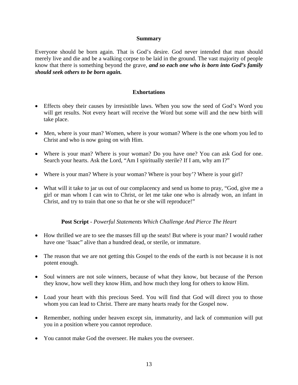## **Summary**

Everyone should be born again. That is God's desire. God never intended that man should merely live and die and be a walking corpse to be laid in the ground. The vast majority of people know that there is something beyond the grave, *and so each one who is born into God's family should seek others to be born again.* 

## **Exhortations**

- Effects obey their causes by irresistible laws. When you sow the seed of God's Word you will get results. Not every heart will receive the Word but some will and the new birth will take place.
- Men, where is your man? Women, where is your woman? Where is the one whom you led to Christ and who is now going on with Him.
- Where is your man? Where is your woman? Do you have one? You can ask God for one. Search your hearts. Ask the Lord, "Am I spiritually sterile? If I am, why am I?"
- Where is your man? Where is your woman? Where is your boy'? Where is your girl?
- What will it take to jar us out of our complacency and send us home to pray, "God, give me a girl or man whom I can win to Christ, or let me take one who is already won, an infant in Christ, and try to train that one so that he or she will reproduce!"

## **Post Script** *- Powerful Statements Which Challenge And Pierce The Heart*

- How thrilled we are to see the masses fill up the seats! But where is your man? I would rather have one 'Isaac" alive than a hundred dead, or sterile, or immature.
- The reason that we are not getting this Gospel to the ends of the earth is not because it is not potent enough.
- Soul winners are not sole winners, because of what they know, but because of the Person they know, how well they know Him, and how much they long for others to know Him.
- Load your heart with this precious Seed. You will find that God will direct you to those whom you can lead to Christ. There are many hearts ready for the Gospel now.
- Remember, nothing under heaven except sin, immaturity, and lack of communion will put you in a position where you cannot reproduce.
- You cannot make God the overseer. He makes you the overseer.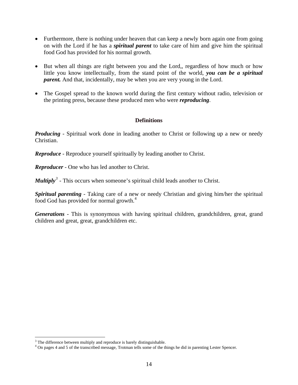- Furthermore, there is nothing under heaven that can keep a newly born again one from going on with the Lord if he has a *spiritual parent* to take care of him and give him the spiritual food God has provided for his normal growth.
- But when all things are right between you and the Lord,, regardless of how much or how little you know intellectually, from the stand point of the world, *you can be a spiritual parent.* And that, incidentally, may be when you are very young in the Lord.
- The Gospel spread to the known world during the first century without radio, television or the printing press, because these produced men who were *reproducing*.

# **Definitions**

*Producing* - Spiritual work done in leading another to Christ or following up a new or needy Christian.

*Reproduce* - Reproduce yourself spiritually by leading another to Christ.

*Reproducer* - One who has led another to Christ.

*Multiply<sup>[3](#page-13-0)</sup>* - This occurs when someone's spiritual child leads another to Christ.

*Spiritual parenting* - Taking care of a new or needy Christian and giving him/her the spiritual food God has provided for normal growth.<sup>[4](#page-13-1)</sup>

*Generations* - This is synonymous with having spiritual children, grandchildren, great, grand children and great, great, grandchildren etc.

<sup>&</sup>lt;sup>3</sup><br><sup>3</sup> The difference between multiply and reproduce is barely distinguishable.

<span id="page-13-1"></span><span id="page-13-0"></span><sup>&</sup>lt;sup>4</sup> On pages 4 and 5 of the transcribed message, Trotman tells some of the things he did in parenting Lester Spencer.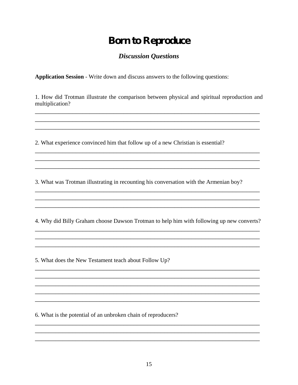# **Born to Reproduce**

# **Discussion Questions**

Application Session - Write down and discuss answers to the following questions:

1. How did Trotman illustrate the comparison between physical and spiritual reproduction and multiplication?

2. What experience convinced him that follow up of a new Christian is essential?

3. What was Trotman illustrating in recounting his conversation with the Armenian boy?

4. Why did Billy Graham choose Dawson Trotman to help him with following up new converts?

5. What does the New Testament teach about Follow Up?

6. What is the potential of an unbroken chain of reproducers?